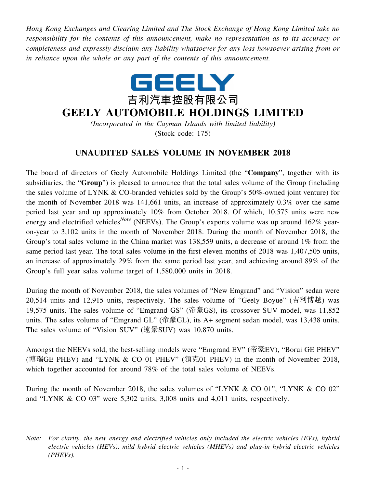*Hong Kong Exchanges and Clearing Limited and The Stock Exchange of Hong Kong Limited take no responsibility for the contents of this announcement, make no representation as to its accuracy or completeness and expressly disclaim any liability whatsoever for any loss howsoever arising from or in reliance upon the whole or any part of the contents of this announcement.*



## **GEELY AUTOMOBILE HOLDINGS LIMITED**

*(Incorporated in the Cayman Islands with limited liability)* (Stock code: 175)

## **UNAUDITED SALES VOLUME IN NOVEMBER 2018**

The board of directors of Geely Automobile Holdings Limited (the "**Company**", together with its subsidiaries, the "**Group**") is pleased to announce that the total sales volume of the Group (including the sales volume of LYNK & CO-branded vehicles sold by the Group's 50%-owned joint venture) for the month of November 2018 was 141,661 units, an increase of approximately 0.3% over the same period last year and up approximately 10% from October 2018. Of which, 10,575 units were new energy and electrified vehicles<sup>*Note*</sup> (NEEVs). The Group's exports volume was up around 162% yearon-year to 3,102 units in the month of November 2018. During the month of November 2018, the Group's total sales volume in the China market was 138,559 units, a decrease of around 1% from the same period last year. The total sales volume in the first eleven months of 2018 was 1,407,505 units, an increase of approximately 29% from the same period last year, and achieving around 89% of the Group's full year sales volume target of 1,580,000 units in 2018.

During the month of November 2018, the sales volumes of "New Emgrand" and "Vision" sedan were 20,514 units and 12,915 units, respectively. The sales volume of "Geely Boyue" (吉利博越) was 19,575 units. The sales volume of "Emgrand GS" (帝豪GS), its crossover SUV model, was 11,852 units. The sales volume of "Emgrand GL" (帝豪GL), its A+ segment sedan model, was 13,438 units. The sales volume of "Vision SUV" (遠景SUV) was 10,870 units.

Amongst the NEEVs sold, the best-selling models were "Emgrand EV" (帝豪EV), "Borui GE PHEV" (博瑞GE PHEV) and "LYNK & CO 01 PHEV" (領克01 PHEV) in the month of November 2018, which together accounted for around 78% of the total sales volume of NEEVs.

During the month of November 2018, the sales volumes of "LYNK & CO 01", "LYNK & CO 02" and "LYNK & CO 03" were 5,302 units, 3,008 units and 4,011 units, respectively.

*Note: For clarity, the new energy and electrified vehicles only included the electric vehicles (EVs), hybrid electric vehicles (HEVs), mild hybrid electric vehicles (MHEVs) and plug-in hybrid electric vehicles (PHEVs).*